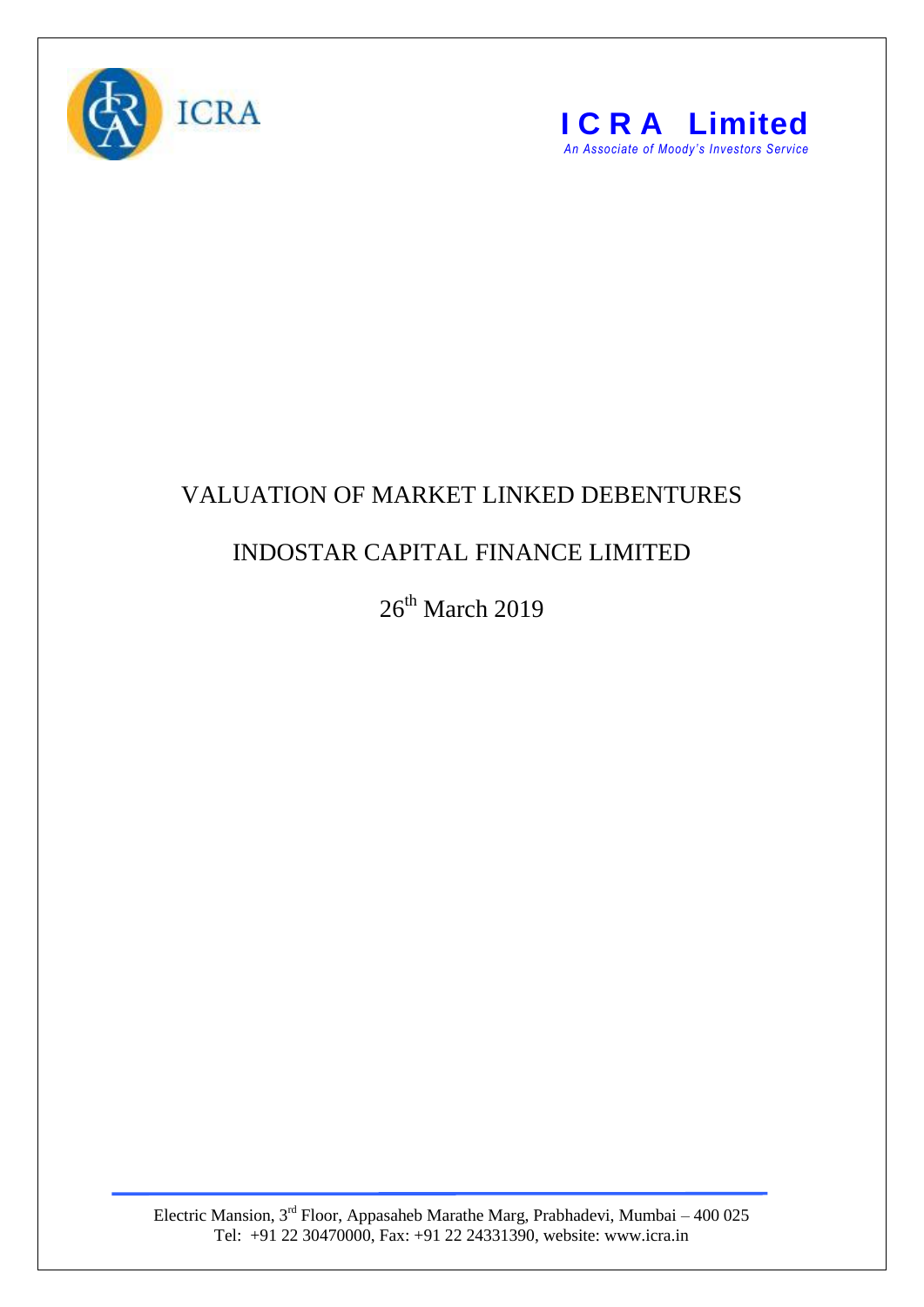



## VALUATION OF MARKET LINKED DEBENTURES

## INDOSTAR CAPITAL FINANCE LIMITED

26<sup>th</sup> March 2019

Electric Mansion,  $3<sup>rd</sup>$  Floor, Appasaheb Marathe Marg, Prabhadevi, Mumbai – 400 025 Tel: +91 22 30470000, Fax: +91 22 24331390, website: www.icra.in